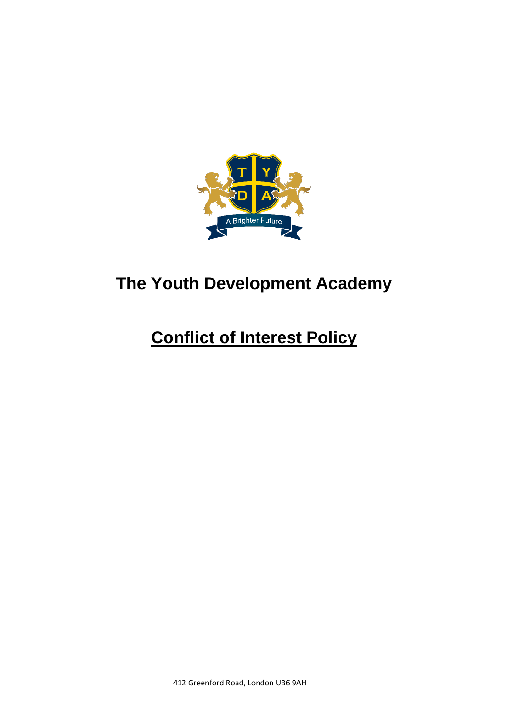

# **The Youth Development Academy**

# **Conflict of Interest Policy**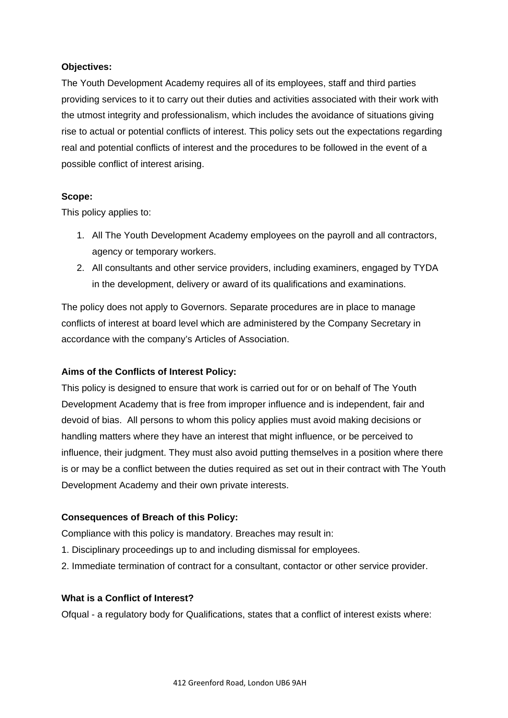#### **Objectives:**

The Youth Development Academy requires all of its employees, staff and third parties providing services to it to carry out their duties and activities associated with their work with the utmost integrity and professionalism, which includes the avoidance of situations giving rise to actual or potential conflicts of interest. This policy sets out the expectations regarding real and potential conflicts of interest and the procedures to be followed in the event of a possible conflict of interest arising.

#### **Scope:**

This policy applies to:

- 1. All The Youth Development Academy employees on the payroll and all contractors, agency or temporary workers.
- 2. All consultants and other service providers, including examiners, engaged by TYDA in the development, delivery or award of its qualifications and examinations.

The policy does not apply to Governors. Separate procedures are in place to manage conflicts of interest at board level which are administered by the Company Secretary in accordance with the company's Articles of Association.

## **Aims of the Conflicts of Interest Policy:**

This policy is designed to ensure that work is carried out for or on behalf of The Youth Development Academy that is free from improper influence and is independent, fair and devoid of bias. All persons to whom this policy applies must avoid making decisions or handling matters where they have an interest that might influence, or be perceived to influence, their judgment. They must also avoid putting themselves in a position where there is or may be a conflict between the duties required as set out in their contract with The Youth Development Academy and their own private interests.

## **Consequences of Breach of this Policy:**

Compliance with this policy is mandatory. Breaches may result in:

- 1. Disciplinary proceedings up to and including dismissal for employees.
- 2. Immediate termination of contract for a consultant, contactor or other service provider.

#### **What is a Conflict of Interest?**

Ofqual - a regulatory body for Qualifications, states that a conflict of interest exists where: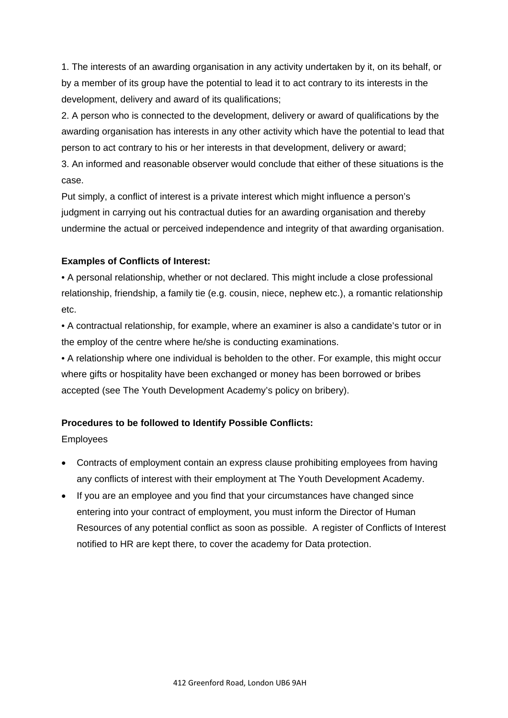1. The interests of an awarding organisation in any activity undertaken by it, on its behalf, or by a member of its group have the potential to lead it to act contrary to its interests in the development, delivery and award of its qualifications;

2. A person who is connected to the development, delivery or award of qualifications by the awarding organisation has interests in any other activity which have the potential to lead that person to act contrary to his or her interests in that development, delivery or award;

3. An informed and reasonable observer would conclude that either of these situations is the case.

Put simply, a conflict of interest is a private interest which might influence a person's judgment in carrying out his contractual duties for an awarding organisation and thereby undermine the actual or perceived independence and integrity of that awarding organisation.

#### **Examples of Conflicts of Interest:**

• A personal relationship, whether or not declared. This might include a close professional relationship, friendship, a family tie (e.g. cousin, niece, nephew etc.), a romantic relationship etc.

• A contractual relationship, for example, where an examiner is also a candidate's tutor or in the employ of the centre where he/she is conducting examinations.

• A relationship where one individual is beholden to the other. For example, this might occur where gifts or hospitality have been exchanged or money has been borrowed or bribes accepted (see The Youth Development Academy's policy on bribery).

## **Procedures to be followed to Identify Possible Conflicts:**

Employees

- Contracts of employment contain an express clause prohibiting employees from having any conflicts of interest with their employment at The Youth Development Academy.
- If you are an employee and you find that your circumstances have changed since entering into your contract of employment, you must inform the Director of Human Resources of any potential conflict as soon as possible. A register of Conflicts of Interest notified to HR are kept there, to cover the academy for Data protection.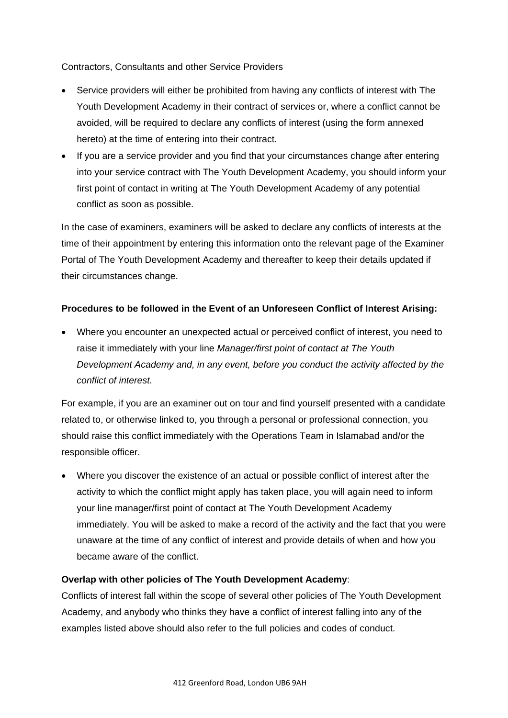Contractors, Consultants and other Service Providers

- Service providers will either be prohibited from having any conflicts of interest with The Youth Development Academy in their contract of services or, where a conflict cannot be avoided, will be required to declare any conflicts of interest (using the form annexed hereto) at the time of entering into their contract.
- If you are a service provider and you find that your circumstances change after entering into your service contract with The Youth Development Academy, you should inform your first point of contact in writing at The Youth Development Academy of any potential conflict as soon as possible.

In the case of examiners, examiners will be asked to declare any conflicts of interests at the time of their appointment by entering this information onto the relevant page of the Examiner Portal of The Youth Development Academy and thereafter to keep their details updated if their circumstances change.

#### **Procedures to be followed in the Event of an Unforeseen Conflict of Interest Arising:**

• Where you encounter an unexpected actual or perceived conflict of interest, you need to raise it immediately with your line *Manager/first point of contact at The Youth Development Academy and, in any event, before you conduct the activity affected by the conflict of interest.*

For example, if you are an examiner out on tour and find yourself presented with a candidate related to, or otherwise linked to, you through a personal or professional connection, you should raise this conflict immediately with the Operations Team in Islamabad and/or the responsible officer.

• Where you discover the existence of an actual or possible conflict of interest after the activity to which the conflict might apply has taken place, you will again need to inform your line manager/first point of contact at The Youth Development Academy immediately. You will be asked to make a record of the activity and the fact that you were unaware at the time of any conflict of interest and provide details of when and how you became aware of the conflict.

#### **Overlap with other policies of The Youth Development Academy**:

Conflicts of interest fall within the scope of several other policies of The Youth Development Academy, and anybody who thinks they have a conflict of interest falling into any of the examples listed above should also refer to the full policies and codes of conduct.